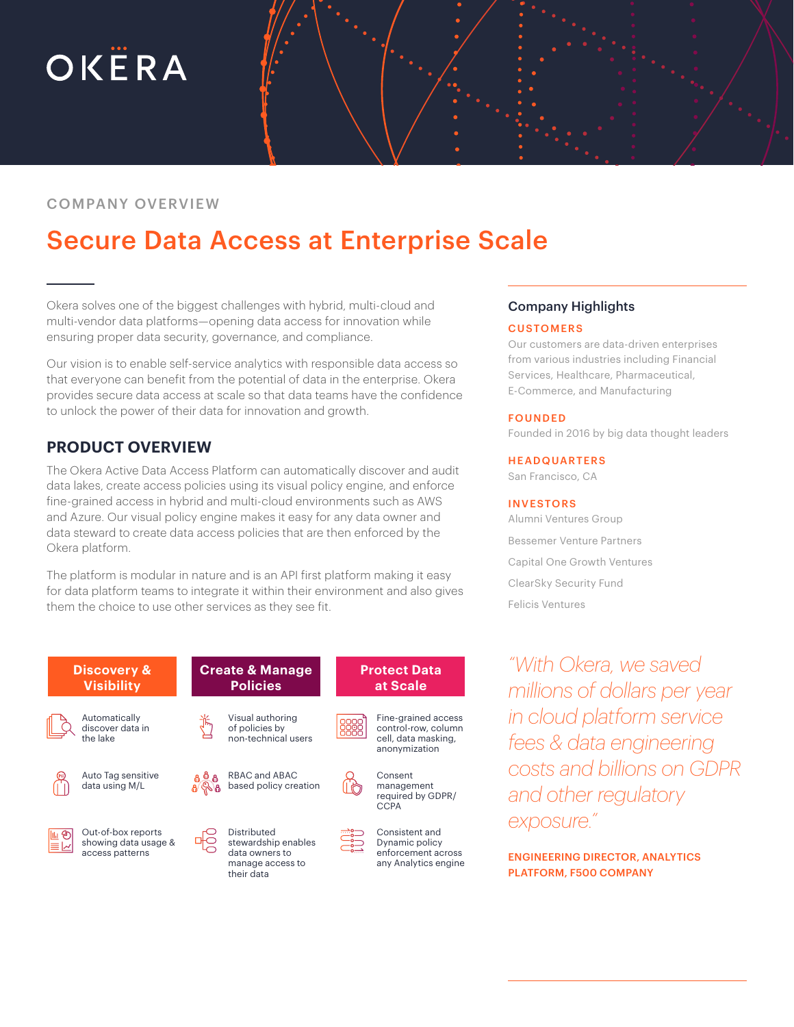# OKËRA

# COMPANY OVERVIEW

# Secure Data Access at Enterprise Scale

Okera solves one of the biggest challenges with hybrid, multi-cloud and multi-vendor data platforms—opening data access for innovation while ensuring proper data security, governance, and compliance.

Our vision is to enable self-service analytics with responsible data access so that everyone can benefit from the potential of data in the enterprise. Okera provides secure data access at scale so that data teams have the confidence to unlock the power of their data for innovation and growth.

# **PRODUCT OVERVIEW**

The Okera Active Data Access Platform can automatically discover and audit data lakes, create access policies using its visual policy engine, and enforce fine-grained access in hybrid and multi-cloud environments such as AWS and Azure. Our visual policy engine makes it easy for any data owner and data steward to create data access policies that are then enforced by the Okera platform.

The platform is modular in nature and is an API first platform making it easy for data platform teams to integrate it within their environment and also gives them the choice to use other services as they see fit.



### Company Highlights

#### **CUSTOMERS**

Our customers are data-driven enterprises from various industries including Financial Services, Healthcare, Pharmaceutical, E-Commerce, and Manufacturing

#### FOUNDED

Founded in 2016 by big data thought leaders

#### HEADQUARTERS

San Francisco, CA

#### INVESTORS

Alumni Ventures Group Bessemer Venture Partners Capital One Growth Ventures ClearSky Security Fund Felicis Ventures

*"With Okera, we saved millions of dollars per year in cloud platform service fees & data engineering costs and billions on GDPR and other regulatory exposure."* 

ENGINEERING DIRECTOR, ANALYTICS PLATFORM, F500 COMPANY